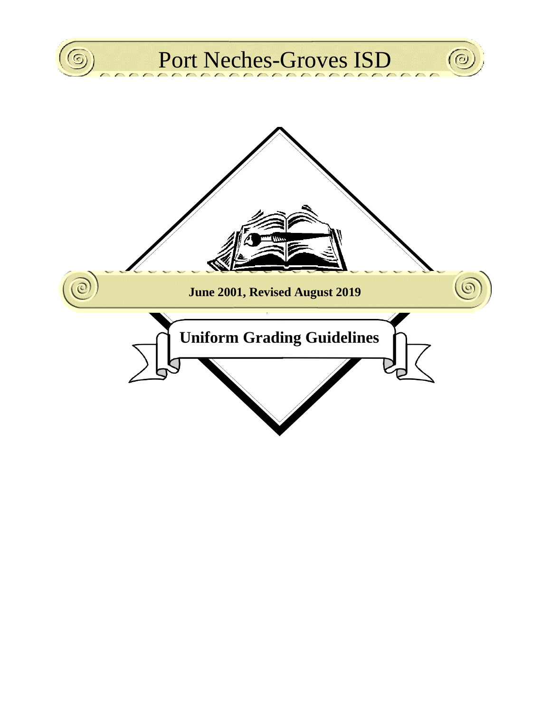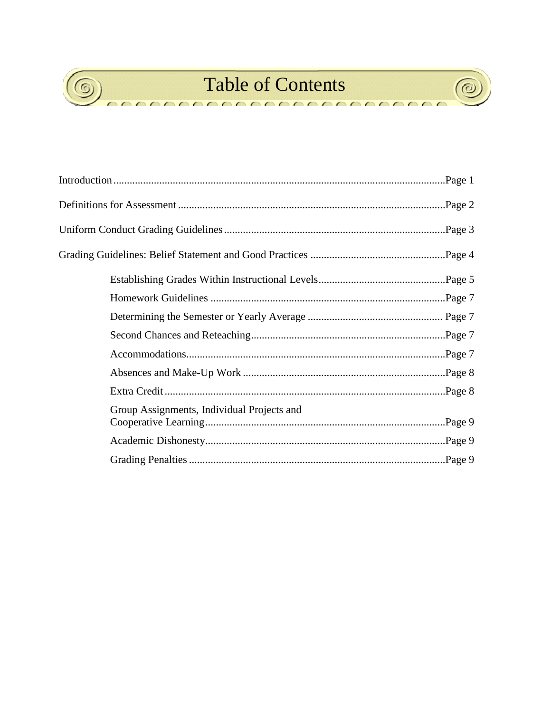

 $\sqrt{2}$ 

# **Table of Contents**

000000000000000

 $^{\copyright}$ 

 $\sqrt{2}$ 

| Group Assignments, Individual Projects and |  |  |  |  |
|--------------------------------------------|--|--|--|--|
|                                            |  |  |  |  |
|                                            |  |  |  |  |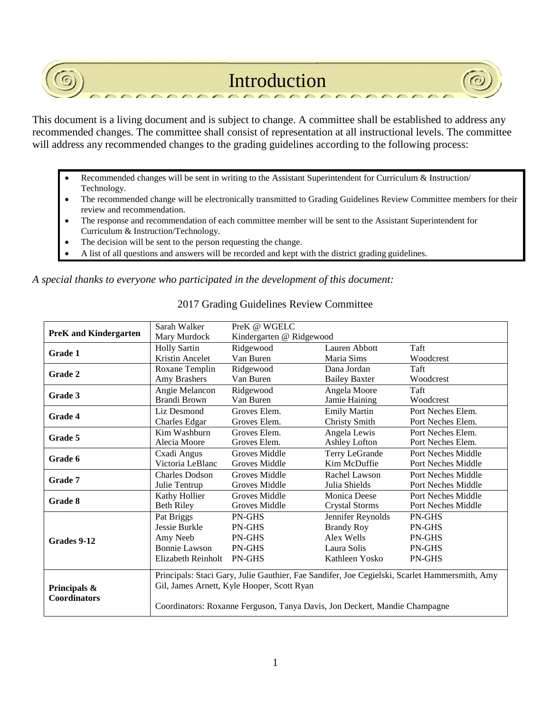## Introduction

This document is a living document and is subject to change. A committee shall be established to address any recommended changes. The committee shall consist of representation at all instructional levels. The committee will address any recommended changes to the grading guidelines according to the following process:

- Recommended changes will be sent in writing to the Assistant Superintendent for Curriculum & Instruction/ Technology.
- The recommended change will be electronically transmitted to Grading Guidelines Review Committee members for their review and recommendation.
- The response and recommendation of each committee member will be sent to the Assistant Superintendent for Curriculum & Instruction/Technology.
- The decision will be sent to the person requesting the change.
- A list of all questions and answers will be recorded and kept with the district grading guidelines.

*A special thanks to everyone who participated in the development of this document:*

|                              | Sarah Walker                                                                                  | PreK @ WGELC             |                       |                           |  |
|------------------------------|-----------------------------------------------------------------------------------------------|--------------------------|-----------------------|---------------------------|--|
| <b>PreK</b> and Kindergarten | Mary Murdock                                                                                  | Kindergarten @ Ridgewood |                       |                           |  |
| <b>Grade 1</b>               | <b>Holly Sartin</b>                                                                           | Ridgewood                | Lauren Abbott         | Taft                      |  |
|                              | Kristin Ancelet                                                                               | Van Buren                | Maria Sims            | Woodcrest                 |  |
|                              | Roxane Templin                                                                                | Ridgewood                | Dana Jordan           | Taft                      |  |
| Grade 2                      | Amy Brashers                                                                                  | Van Buren                | <b>Bailey Baxter</b>  | Woodcrest                 |  |
|                              | Angie Melancon                                                                                | Ridgewood                | Angela Moore          | Taft                      |  |
| Grade 3                      | Brandi Brown                                                                                  | Van Buren                | Jamie Haining         | Woodcrest                 |  |
|                              | Liz Desmond                                                                                   | Groves Elem.             | <b>Emily Martin</b>   | Port Neches Elem.         |  |
| <b>Grade 4</b>               | Charles Edgar                                                                                 | Groves Elem.             | <b>Christy Smith</b>  | Port Neches Elem.         |  |
| Grade 5                      | Kim Washburn                                                                                  | Groves Elem.             | Angela Lewis          | Port Neches Elem.         |  |
|                              | Alecia Moore                                                                                  | Groves Elem.             | Ashley Lofton         | Port Neches Elem.         |  |
| Grade 6                      | Cxadi Angus                                                                                   | Groves Middle            | Terry LeGrande        | Port Neches Middle        |  |
|                              | Victoria LeBlanc                                                                              | Groves Middle            | Kim McDuffie          | Port Neches Middle        |  |
| Grade 7                      | Charles Dodson                                                                                | Groves Middle            | Rachel Lawson         | Port Neches Middle        |  |
|                              | Julie Tentrup                                                                                 | Groves Middle            | Julia Shields         | <b>Port Neches Middle</b> |  |
| Grade 8                      | Kathy Hollier                                                                                 | <b>Groves Middle</b>     | Monica Deese          | <b>Port Neches Middle</b> |  |
|                              | <b>Beth Riley</b>                                                                             | Groves Middle            | <b>Crystal Storms</b> | <b>Port Neches Middle</b> |  |
|                              | Pat Briggs                                                                                    | PN-GHS                   | Jennifer Reynolds     | PN-GHS                    |  |
|                              | Jessie Burkle                                                                                 | PN-GHS                   | <b>Brandy Roy</b>     | <b>PN-GHS</b>             |  |
| Grades 9-12                  | Amy Neeb                                                                                      | <b>PN-GHS</b>            | Alex Wells            | <b>PN-GHS</b>             |  |
|                              | <b>Bonnie Lawson</b>                                                                          | <b>PN-GHS</b>            | Laura Solis           | <b>PN-GHS</b>             |  |
|                              | Elizabeth Reinholt                                                                            | PN-GHS                   | Kathleen Yosko        | PN-GHS                    |  |
|                              | Principals: Staci Gary, Julie Gauthier, Fae Sandifer, Joe Cegielski, Scarlet Hammersmith, Amy |                          |                       |                           |  |
| Principals &                 | Gil, James Arnett, Kyle Hooper, Scott Ryan                                                    |                          |                       |                           |  |
|                              |                                                                                               |                          |                       |                           |  |
| <b>Coordinators</b>          | Coordinators: Roxanne Ferguson, Tanya Davis, Jon Deckert, Mandie Champagne                    |                          |                       |                           |  |
|                              |                                                                                               |                          |                       |                           |  |

### 2017 Grading Guidelines Review Committee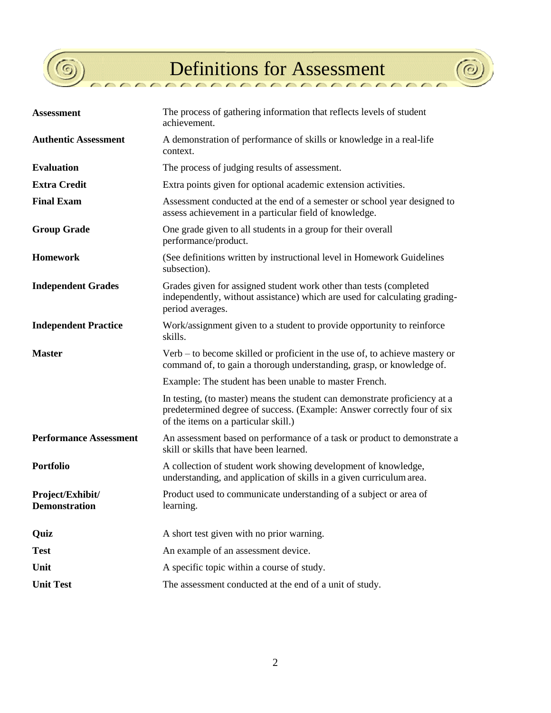

 $\overline{\phantom{a}}$ 

 $\overline{\phantom{a}}$ 

Definitions for Assessment

 $\circ$ 

 $\sqrt{2}$ 

| <b>Assessment</b>                 | The process of gathering information that reflects levels of student<br>achievement.                                                                                                          |  |  |
|-----------------------------------|-----------------------------------------------------------------------------------------------------------------------------------------------------------------------------------------------|--|--|
| <b>Authentic Assessment</b>       | A demonstration of performance of skills or knowledge in a real-life<br>context.                                                                                                              |  |  |
| <b>Evaluation</b>                 | The process of judging results of assessment.                                                                                                                                                 |  |  |
| <b>Extra Credit</b>               | Extra points given for optional academic extension activities.                                                                                                                                |  |  |
| <b>Final Exam</b>                 | Assessment conducted at the end of a semester or school year designed to<br>assess achievement in a particular field of knowledge.                                                            |  |  |
| <b>Group Grade</b>                | One grade given to all students in a group for their overall<br>performance/product.                                                                                                          |  |  |
| <b>Homework</b>                   | (See definitions written by instructional level in Homework Guidelines<br>subsection).                                                                                                        |  |  |
| <b>Independent Grades</b>         | Grades given for assigned student work other than tests (completed<br>independently, without assistance) which are used for calculating grading-<br>period averages.                          |  |  |
| <b>Independent Practice</b>       | Work/assignment given to a student to provide opportunity to reinforce<br>skills.                                                                                                             |  |  |
| <b>Master</b>                     | Verb – to become skilled or proficient in the use of, to achieve mastery or<br>command of, to gain a thorough understanding, grasp, or knowledge of.                                          |  |  |
|                                   |                                                                                                                                                                                               |  |  |
|                                   | Example: The student has been unable to master French.                                                                                                                                        |  |  |
|                                   | In testing, (to master) means the student can demonstrate proficiency at a<br>predetermined degree of success. (Example: Answer correctly four of six<br>of the items on a particular skill.) |  |  |
| <b>Performance Assessment</b>     | An assessment based on performance of a task or product to demonstrate a<br>skill or skills that have been learned.                                                                           |  |  |
| Portfolio                         | A collection of student work showing development of knowledge,<br>understanding, and application of skills in a given curriculum area.                                                        |  |  |
| Project/Exhibit/<br>Demonstration | Product used to communicate understanding of a subject or area of<br>learning.                                                                                                                |  |  |
| Quiz                              | A short test given with no prior warning.                                                                                                                                                     |  |  |
| <b>Test</b>                       | An example of an assessment device.                                                                                                                                                           |  |  |
| Unit                              | A specific topic within a course of study.                                                                                                                                                    |  |  |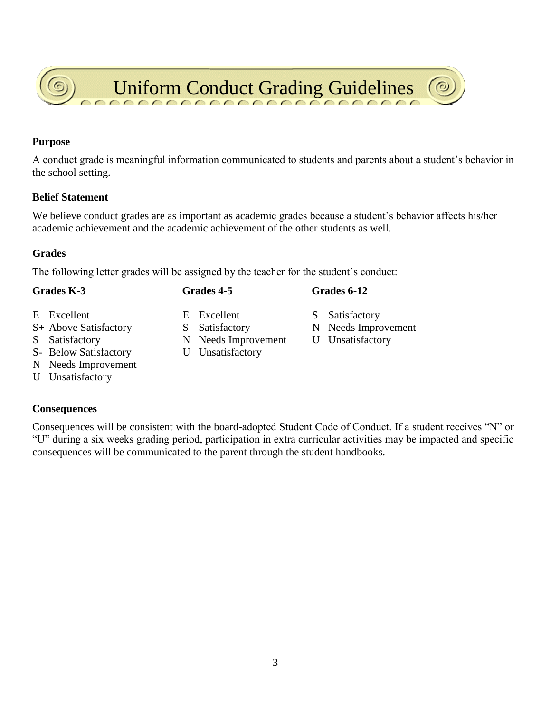A conduct grade is meaningful information communicated to students and parents about a student's behavior in

**Purpose**

**Belief Statement**

the school setting.

We believe conduct grades are as important as academic grades because a student's behavior affects his/her academic achievement and the academic achievement of the other students as well.

#### **Grades**

The following letter grades will be assigned by the teacher for the student's conduct:

- 
- 
- 
- S- Below Satisfactory U Unsatisfactory
- N Needs Improvement
- U Unsatisfactory

#### **Consequences**

Consequences will be consistent with the board-adopted Student Code of Conduct. If a student receives "N" or "U" during a six weeks grading period, participation in extra curricular activities may be impacted and specific consequences will be communicated to the parent through the student handbooks.

- **Grades K-3 Grades 4-5 Grades 6-12**
	-
- S Satisfactory N Needs Improvement U Unsatisfactory
	-
- E Excellent E Excellent S Satisfactory
- S+ Above Satisfactory S Satisfactory N Needs Improvement
	-

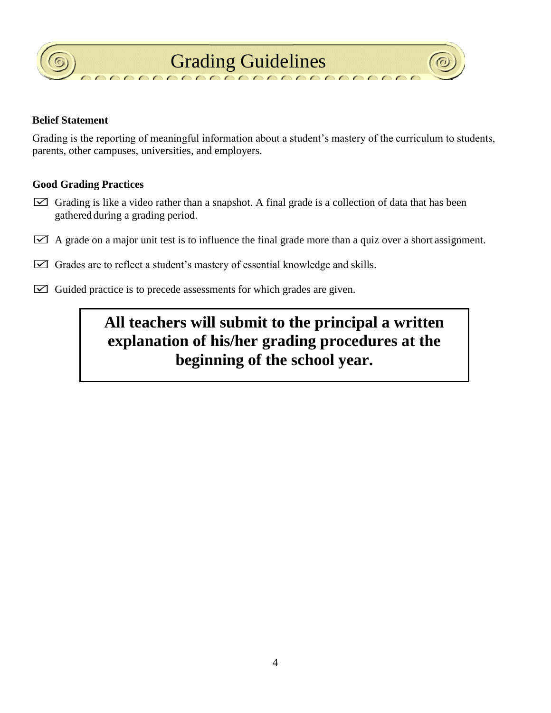



#### **Belief Statement**

Grading is the reporting of meaningful information about a student's mastery of the curriculum to students, parents, other campuses, universities, and employers.

#### **Good Grading Practices**

- Grading is like a video rather than a snapshot. A final grade is a collection of data that has been gathered during a grading period.
- $\boxtimes$  A grade on a major unit test is to influence the final grade more than a quiz over a short assignment.
- $\boxtimes$  Grades are to reflect a student's mastery of essential knowledge and skills.
- $\boxtimes$  Guided practice is to precede assessments for which grades are given.

## **All teachers will submit to the principal a written explanation of his/her grading procedures at the beginning of the school year.**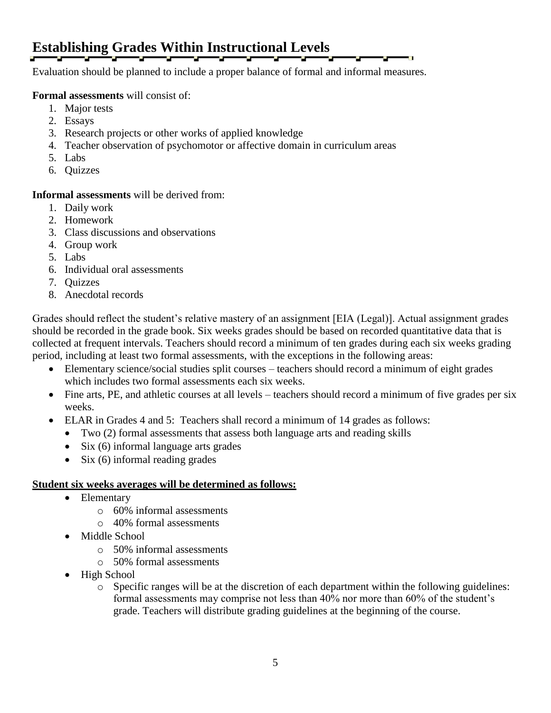## **Establishing Grades Within Instructional Levels**

Evaluation should be planned to include a proper balance of formal and informal measures.

#### **Formal assessments** will consist of:

- 1. Major tests
- 2. Essays
- 3. Research projects or other works of applied knowledge
- 4. Teacher observation of psychomotor or affective domain in curriculum areas
- 5. Labs
- 6. Quizzes

**Informal assessments** will be derived from:

- 1. Daily work
- 2. Homework
- 3. Class discussions and observations
- 4. Group work
- 5. Labs
- 6. Individual oral assessments
- 7. Quizzes
- 8. Anecdotal records

Grades should reflect the student's relative mastery of an assignment [EIA (Legal)]. Actual assignment grades should be recorded in the grade book. Six weeks grades should be based on recorded quantitative data that is collected at frequent intervals. Teachers should record a minimum of ten grades during each six weeks grading period, including at least two formal assessments, with the exceptions in the following areas:

- Elementary science/social studies split courses teachers should record a minimum of eight grades which includes two formal assessments each six weeks.
- Fine arts, PE, and athletic courses at all levels teachers should record a minimum of five grades per six weeks.
- ELAR in Grades 4 and 5: Teachers shall record a minimum of 14 grades as follows:
	- Two (2) formal assessments that assess both language arts and reading skills
		- Six (6) informal language arts grades
	- $\bullet$  Six (6) informal reading grades

#### **Student six weeks averages will be determined as follows:**

- Elementary
	- o 60% informal assessments
	- o 40% formal assessments
- Middle School
	- o 50% informal assessments
	- o 50% formal assessments
- High School
	- o Specific ranges will be at the discretion of each department within the following guidelines: formal assessments may comprise not less than 40% nor more than 60% of the student's grade. Teachers will distribute grading guidelines at the beginning of the course.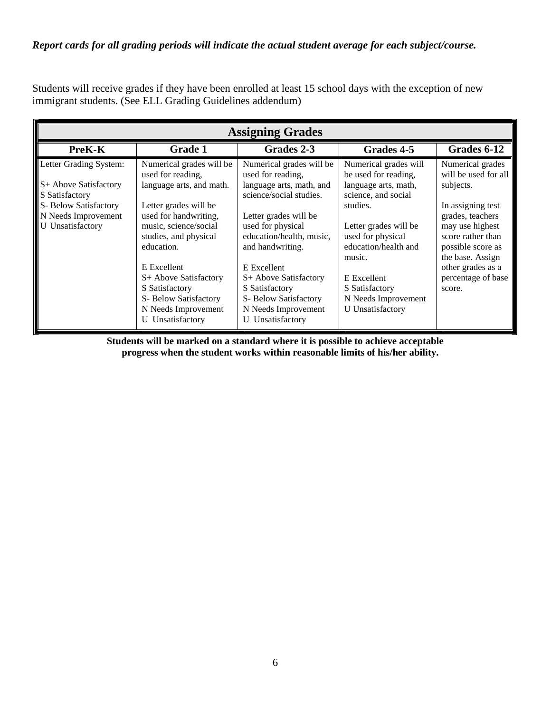#### *Report cards for all grading periods will indicate the actual student average for each subject/course.*

Students will receive grades if they have been enrolled at least 15 school days with the exception of new immigrant students. (See ELL Grading Guidelines addendum)

| <b>Assigning Grades</b>                                                                                                                      |                                                                                                                                                                                                                                                                                                                           |                                                                                                                                                                                                                                                                                                                                  |                                                                                                                                                                                                                                                                             |                                                                                                                                                                                                                                      |  |  |
|----------------------------------------------------------------------------------------------------------------------------------------------|---------------------------------------------------------------------------------------------------------------------------------------------------------------------------------------------------------------------------------------------------------------------------------------------------------------------------|----------------------------------------------------------------------------------------------------------------------------------------------------------------------------------------------------------------------------------------------------------------------------------------------------------------------------------|-----------------------------------------------------------------------------------------------------------------------------------------------------------------------------------------------------------------------------------------------------------------------------|--------------------------------------------------------------------------------------------------------------------------------------------------------------------------------------------------------------------------------------|--|--|
| PreK-K                                                                                                                                       | <b>Grade 1</b>                                                                                                                                                                                                                                                                                                            | Grades 2-3                                                                                                                                                                                                                                                                                                                       | Grades 4-5                                                                                                                                                                                                                                                                  | Grades 6-12                                                                                                                                                                                                                          |  |  |
| Letter Grading System:<br>S+ Above Satisfactory<br>S Satisfactory<br>S- Below Satisfactory<br>N Needs Improvement<br><b>U</b> Unsatisfactory | Numerical grades will be<br>used for reading,<br>language arts, and math.<br>Letter grades will be<br>used for handwriting,<br>music, science/social<br>studies, and physical<br>education.<br>E Excellent<br>S+ Above Satisfactory<br>S Satisfactory<br>S- Below Satisfactory<br>N Needs Improvement<br>U Unsatisfactory | Numerical grades will be<br>used for reading,<br>language arts, math, and<br>science/social studies.<br>Letter grades will be<br>used for physical<br>education/health, music,<br>and handwriting.<br>E Excellent<br>S+ Above Satisfactory<br>S Satisfactory<br>S- Below Satisfactory<br>N Needs Improvement<br>U Unsatisfactory | Numerical grades will<br>be used for reading,<br>language arts, math,<br>science, and social<br>studies.<br>Letter grades will be<br>used for physical<br>education/health and<br>music.<br>E Excellent<br>S Satisfactory<br>N Needs Improvement<br><b>U</b> Unsatisfactory | Numerical grades<br>will be used for all<br>subjects.<br>In assigning test<br>grades, teachers<br>may use highest<br>score rather than<br>possible score as<br>the base. Assign<br>other grades as a<br>percentage of base<br>score. |  |  |

**Students will be marked on a standard where it is possible to achieve acceptable progress when the student works within reasonable limits of his/her ability.**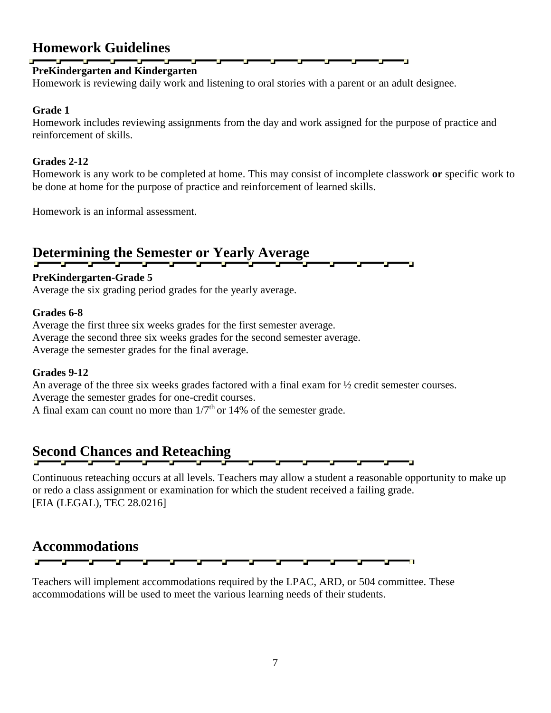### **Homework Guidelines**

### **PreKindergarten and Kindergarten**

Homework is reviewing daily work and listening to oral stories with a parent or an adult designee.

#### **Grade 1**

Homework includes reviewing assignments from the day and work assigned for the purpose of practice and reinforcement of skills.

#### **Grades 2-12**

Homework is any work to be completed at home. This may consist of incomplete classwork **or** specific work to be done at home for the purpose of practice and reinforcement of learned skills.

Homework is an informal assessment.

#### **Determining the Semester or Yearly Average**

#### **PreKindergarten-Grade 5**

Average the six grading period grades for the yearly average.

#### **Grades 6-8**

Average the first three six weeks grades for the first semester average. Average the second three six weeks grades for the second semester average. Average the semester grades for the final average.

#### **Grades 9-12**

An average of the three six weeks grades factored with a final exam for ½ credit semester courses. Average the semester grades for one-credit courses. A final exam can count no more than  $1/7<sup>th</sup>$  or 14% of the semester grade.

### **Second Chances and Reteaching**

Continuous reteaching occurs at all levels. Teachers may allow a student a reasonable opportunity to make up or redo a class assignment or examination for which the student received a failing grade. [EIA (LEGAL), TEC 28.0216]

\_\_\_\_\_\_\_\_\_\_\_\_\_\_\_\_\_\_\_\_\_\_\_

### **Accommodations**



Teachers will implement accommodations required by the LPAC, ARD, or 504 committee. These accommodations will be used to meet the various learning needs of their students.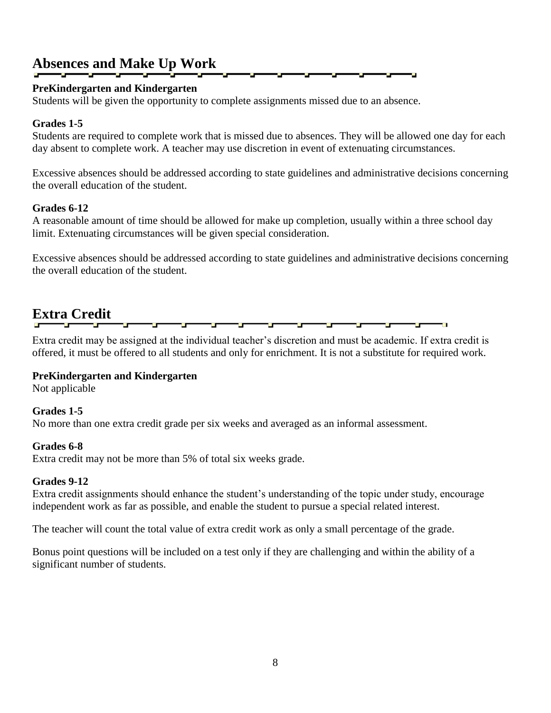### **Absences and Make Up Work**

### **PreKindergarten and Kindergarten**

Students will be given the opportunity to complete assignments missed due to an absence.

#### **Grades 1-5**

Students are required to complete work that is missed due to absences. They will be allowed one day for each day absent to complete work. A teacher may use discretion in event of extenuating circumstances.

Excessive absences should be addressed according to state guidelines and administrative decisions concerning the overall education of the student.

#### **Grades 6-12**

A reasonable amount of time should be allowed for make up completion, usually within a three school day limit. Extenuating circumstances will be given special consideration.

Excessive absences should be addressed according to state guidelines and administrative decisions concerning the overall education of the student.

### **Extra Credit**

Extra credit may be assigned at the individual teacher's discretion and must be academic. If extra credit is offered, it must be offered to all students and only for enrichment. It is not a substitute for required work.

#### **PreKindergarten and Kindergarten**

Not applicable

#### **Grades 1-5**

No more than one extra credit grade per six weeks and averaged as an informal assessment.

#### **Grades 6-8**

Extra credit may not be more than 5% of total six weeks grade.

#### **Grades 9-12**

Extra credit assignments should enhance the student's understanding of the topic under study, encourage independent work as far as possible, and enable the student to pursue a special related interest.

The teacher will count the total value of extra credit work as only a small percentage of the grade.

Bonus point questions will be included on a test only if they are challenging and within the ability of a significant number of students.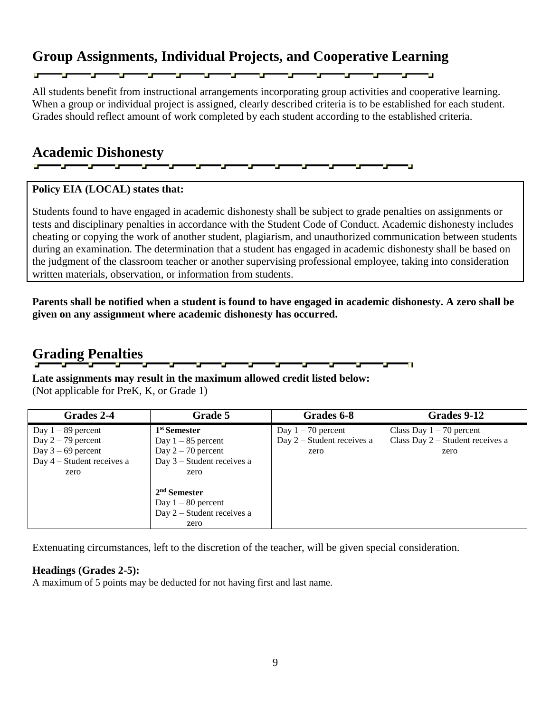### **Group Assignments, Individual Projects, and Cooperative Learning**

All students benefit from instructional arrangements incorporating group activities and cooperative learning. When a group or individual project is assigned, clearly described criteria is to be established for each student. Grades should reflect amount of work completed by each student according to the established criteria.

an di sebagai personal personal personal personal personal personal personal personal personal personal persona<br>Personal personal personal personal personal personal personal personal personal personal personal personal pe

#### **Academic Dishonesty** — **—**

### **Policy EIA (LOCAL) states that:**

Students found to have engaged in academic dishonesty shall be subject to grade penalties on assignments or tests and disciplinary penalties in accordance with the Student Code of Conduct. Academic dishonesty includes cheating or copying the work of another student, plagiarism, and unauthorized communication between students during an examination. The determination that a student has engaged in academic dishonesty shall be based on the judgment of the classroom teacher or another supervising professional employee, taking into consideration written materials, observation, or information from students.

**Parents shall be notified when a student is found to have engaged in academic dishonesty. A zero shall be given on any assignment where academic dishonesty has occurred.**

### **Grading Penalties**

**Late assignments may result in the maximum allowed credit listed below:** (Not applicable for PreK, K, or Grade 1)

| Grades 2-4                   | Grade 5                      | Grades 6-8                   | Grades 9-12                      |
|------------------------------|------------------------------|------------------------------|----------------------------------|
| Day $1 - 89$ percent         | 1 <sup>st</sup> Semester     | Day $1 - 70$ percent         | Class Day $1 - 70$ percent       |
| Day $2 - 79$ percent         | Day $1 - 85$ percent         | Day $2$ – Student receives a | Class Day 2 - Student receives a |
| Day $3 - 69$ percent         | Day $2 - 70$ percent         | zero                         | zero                             |
| Day $4 -$ Student receives a | Day $3$ – Student receives a |                              |                                  |
| zero                         | zero                         |                              |                                  |
|                              |                              |                              |                                  |
|                              | $2nd$ Semester               |                              |                                  |
|                              | Day $1 - 80$ percent         |                              |                                  |
|                              | Day $2$ – Student receives a |                              |                                  |
|                              | zero                         |                              |                                  |

Extenuating circumstances, left to the discretion of the teacher, will be given special consideration.

#### **Headings (Grades 2-5):**

A maximum of 5 points may be deducted for not having first and last name.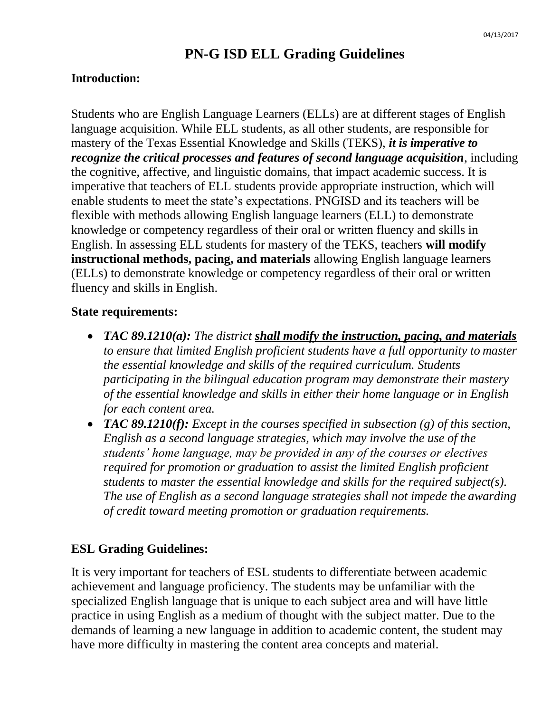### **PN-G ISD ELL Grading Guidelines**

### **Introduction:**

Students who are English Language Learners (ELLs) are at different stages of English language acquisition. While ELL students, as all other students, are responsible for mastery of the Texas Essential Knowledge and Skills (TEKS), *it is imperative to recognize the critical processes and features of second language acquisition*, including the cognitive, affective, and linguistic domains, that impact academic success. It is imperative that teachers of ELL students provide appropriate instruction, which will enable students to meet the state's expectations. PNGISD and its teachers will be flexible with methods allowing English language learners (ELL) to demonstrate knowledge or competency regardless of their oral or written fluency and skills in English. In assessing ELL students for mastery of the TEKS, teachers **will modify instructional methods, pacing, and materials** allowing English language learners (ELLs) to demonstrate knowledge or competency regardless of their oral or written fluency and skills in English.

### **State requirements:**

- **TAC 89.1210(a):** The district **shall modify the instruction, pacing, and materials** *to ensure that limited English proficient students have a full opportunity to master the essential knowledge and skills of the required curriculum. Students participating in the bilingual education program may demonstrate their mastery of the essential knowledge and skills in either their home language or in English for each content area.*
- *TAC 89.1210(f): Except in the courses specified in subsection (g) of this section, English as a second language strategies, which may involve the use of the students' home language, may be provided in any of the courses or electives required for promotion or graduation to assist the limited English proficient students to master the essential knowledge and skills for the required subject(s). The use of English as a second language strategies shall not impede the awarding of credit toward meeting promotion or graduation requirements.*

### **ESL Grading Guidelines:**

It is very important for teachers of ESL students to differentiate between academic achievement and language proficiency. The students may be unfamiliar with the specialized English language that is unique to each subject area and will have little practice in using English as a medium of thought with the subject matter. Due to the demands of learning a new language in addition to academic content, the student may have more difficulty in mastering the content area concepts and material.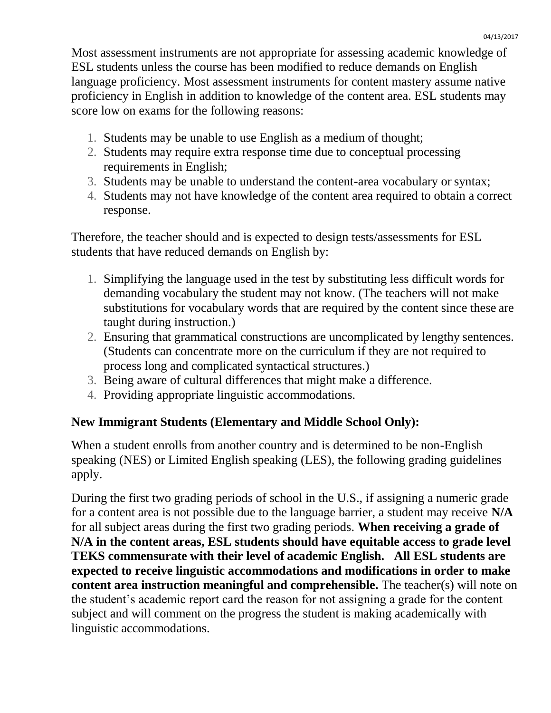Most assessment instruments are not appropriate for assessing academic knowledge of ESL students unless the course has been modified to reduce demands on English language proficiency. Most assessment instruments for content mastery assume native proficiency in English in addition to knowledge of the content area. ESL students may score low on exams for the following reasons:

- 1. Students may be unable to use English as a medium of thought;
- 2. Students may require extra response time due to conceptual processing requirements in English;
- 3. Students may be unable to understand the content-area vocabulary or syntax;
- 4. Students may not have knowledge of the content area required to obtain a correct response.

Therefore, the teacher should and is expected to design tests/assessments for ESL students that have reduced demands on English by:

- 1. Simplifying the language used in the test by substituting less difficult words for demanding vocabulary the student may not know. (The teachers will not make substitutions for vocabulary words that are required by the content since these are taught during instruction.)
- 2. Ensuring that grammatical constructions are uncomplicated by lengthy sentences. (Students can concentrate more on the curriculum if they are not required to process long and complicated syntactical structures.)
- 3. Being aware of cultural differences that might make a difference.
- 4. Providing appropriate linguistic accommodations.

### **New Immigrant Students (Elementary and Middle School Only):**

When a student enrolls from another country and is determined to be non-English speaking (NES) or Limited English speaking (LES), the following grading guidelines apply.

During the first two grading periods of school in the U.S., if assigning a numeric grade for a content area is not possible due to the language barrier, a student may receive **N/A**  for all subject areas during the first two grading periods. **When receiving a grade of N/A in the content areas, ESL students should have equitable access to grade level TEKS commensurate with their level of academic English. All ESL students are expected to receive linguistic accommodations and modifications in order to make content area instruction meaningful and comprehensible.** The teacher(s) will note on the student's academic report card the reason for not assigning a grade for the content subject and will comment on the progress the student is making academically with linguistic accommodations.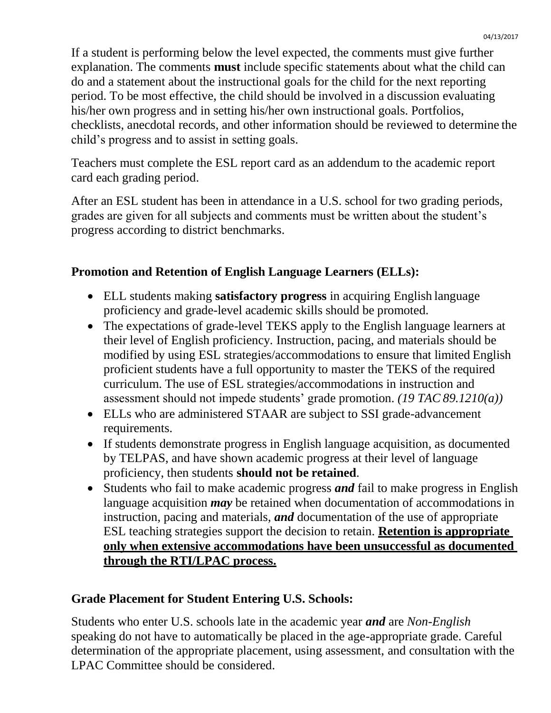If a student is performing below the level expected, the comments must give further explanation. The comments **must** include specific statements about what the child can do and a statement about the instructional goals for the child for the next reporting period. To be most effective, the child should be involved in a discussion evaluating his/her own progress and in setting his/her own instructional goals. Portfolios, checklists, anecdotal records, and other information should be reviewed to determine the child's progress and to assist in setting goals.

Teachers must complete the ESL report card as an addendum to the academic report card each grading period.

After an ESL student has been in attendance in a U.S. school for two grading periods, grades are given for all subjects and comments must be written about the student's progress according to district benchmarks.

### **Promotion and Retention of English Language Learners (ELLs):**

- ELL students making **satisfactory progress** in acquiring English language proficiency and grade-level academic skills should be promoted.
- The expectations of grade-level TEKS apply to the English language learners at their level of English proficiency*.* Instruction, pacing, and materials should be modified by using ESL strategies/accommodations to ensure that limited English proficient students have a full opportunity to master the TEKS of the required curriculum. The use of ESL strategies/accommodations in instruction and assessment should not impede students' grade promotion. *(19 TAC 89.1210(a))*
- ELLs who are administered STAAR are subject to SSI grade-advancement requirements.
- If students demonstrate progress in English language acquisition, as documented by TELPAS, and have shown academic progress at their level of language proficiency, then students **should not be retained**.
- Students who fail to make academic progress *and* fail to make progress in English language acquisition *may* be retained when documentation of accommodations in instruction, pacing and materials, *and* documentation of the use of appropriate ESL teaching strategies support the decision to retain. **Retention is appropriate only when extensive accommodations have been unsuccessful as documented through the RTI/LPAC process.**

### **Grade Placement for Student Entering U.S. Schools:**

Students who enter U.S. schools late in the academic year *and* are *Non-English*  speaking do not have to automatically be placed in the age-appropriate grade. Careful determination of the appropriate placement, using assessment, and consultation with the LPAC Committee should be considered.